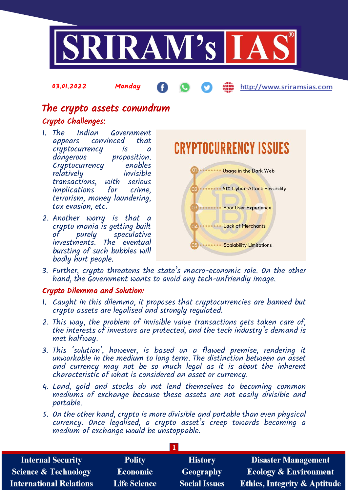

The crypto assets conundrum

03.01.2022 Monday

## Crypto Challenges:

- 1. The Indian Government appears convinced cryptocurrency is a proposition.<br>enables Cryptocurrency enables  $relatively$ transactions, with serious implications for terrorism, money laundering, tax evasion, etc.
- 2. Another worry is that a crypto mania is getting built of purely speculative investments. The eventual bursting of such bubbles will badly hurt people.

**CRYPTOCURRENCY ISSUES OD** ........ Usage in the Dark Web 02 ........ 51% Cyber-Attack Possibility 03 ........ Poor User Experience 04 ........ Lack of Merchants **WEBSTERN Scalability Limitations** 

http://www.sriramsias.com

3. Further, crypto threatens the state's macro-economic role. On the other hand, the Government wants to avoid any tech-unfriendly image.

### Crypto Dilemma and Solution:

- 1. Caught in this dilemma, it proposes that cryptocurrencies are banned but crypto assets are legalised and strongly regulated.
- 2. This way, the problem of invisible value transactions gets taken care of, the interests of investors are protected, and the tech industry's demand is met halfway.
- 3. This 'solution', however, is based on a flawed premise, rendering it unworkable in the medium to long term. The distinction between an asset and currency may not be so much legal as it is about the inherent characteristic of what is considered an asset or currency.
- 4. Land, gold and stocks do not lend themselves to becoming common mediums of exchange because these assets are not easily divisible and portable.
- 5. On the other hand, crypto is more divisible and portable than even physical currency. Once legalised, a crypto asset's creep towards becoming a medium of exchange would be unstoppable.

| <b>Internal Security</b>        | <b>Polity</b>       | <b>History</b>       | <b>Disaster Management</b>              |
|---------------------------------|---------------------|----------------------|-----------------------------------------|
| <b>Science &amp; Technology</b> | <b>Economic</b>     | <b>Geography</b>     | <b>Ecology &amp; Environment</b>        |
| <b>International Relations</b>  | <b>Life Science</b> | <b>Social Issues</b> | <b>Ethics, Integrity &amp; Aptitude</b> |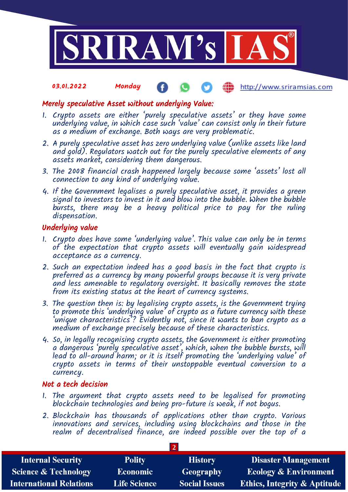

#### 03.01.2022 Monday ŒD http://www.sriramsias.com

### Merely speculative Asset without underlying Value:

- 1. Crypto assets are either 'purely speculative assets' or they have some underlying value, in which case such 'value' can consist only in their future as a medium of exchange. Both ways are very problematic.
- 2. A purely speculative asset has zero underlying value (unlike assets like land and gold). Regulators watch out for the purely speculative elements of any assets market, considering them dangerous.
- 3. The 2008 financial crash happened largely because some 'assets' lost all connection to any kind of underlying value.
- 4. If the Government legalises a purely speculative asset, it provides a green signal to investors to invest in it and blow into the bubble. When the bubble bursts, there may be a heavy political price to pay for the ruling dispensation.

#### Underlying value

- 1. Crypto does have some 'underlying value'. This value can only be in terms of the expectation that crypto assets will eventually gain widespread acceptance as a currency.
- 2. Such an expectation indeed has a good basis in the fact that crypto is preferred as a currency by many powerful groups because it is very private and less amenable to regulatory oversight. It basically removes the state from its existing status at the heart of currency systems.
- 3. The question then is: by legalising crypto assets, is the Government trying to promote this 'underlying value' of crypto as a future currency with these 'unique characteristics'? Evidently not, since it wants to ban crypto as a medium of exchange precisely because of these characteristics.
- 4. So, in legally recognising crypto assets, the Government is either promoting a dangerous 'purely speculative asset', which, when the bubble bursts, will lead to all-around harm; or it is itself promoting the 'underlying value' of crypto assets in terms of their unstoppable eventual conversion to a currency.

#### Not a tech decision

- 1. The argument that crypto assets need to be legalised for promoting blockchain technologies and being pro-future is weak, if not bogus.
- 2. Blockchain has thousands of applications other than crypto. Various innovations and services, including using blockchains and those in the realm of decentralised finance, are indeed possible over the top of a

**2**

| <b>Internal Security</b>        | <b>Polity</b>       | <b>History</b>       | <b>Disaster Management</b>              |  |  |  |
|---------------------------------|---------------------|----------------------|-----------------------------------------|--|--|--|
| <b>Science &amp; Technology</b> | <b>Economic</b>     | Geography            | <b>Ecology &amp; Environment</b>        |  |  |  |
| <b>International Relations</b>  | <b>Life Science</b> | <b>Social Issues</b> | <b>Ethics, Integrity &amp; Aptitude</b> |  |  |  |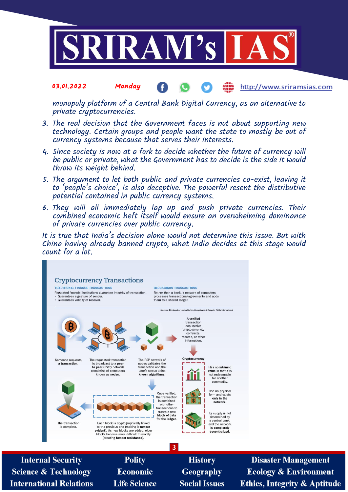

#### 03.01.2022 Monday Æ http://www.sriramsias.com

monopoly platform of a Central Bank Digital Currency, as an alternative to private cryptocurrencies.

- 3. The real decision that the Government faces is not about supporting new technology. Certain groups and people want the state to mostly be out of currency systems because that serves their interests.
- 4. Since society is now at a fork to decide whether the future of currency will be public or private, what the Government has to decide is the side it would throw its weight behind.
- 5. The argument to let both public and private currencies co-exist, leaving it to 'people's choice', is also deceptive. The powerful resent the distributive potential contained in public currency systems.
- 6. They will all immediately lap up and push private currencies. Their combined economic heft itself would ensure an overwhelming dominance of private currencies over public currency.

It is true that India's decision alone would not determine this issue. But with China having already banned crypto, what India decides at this stage would count for a lot.



**Internal Security Science & Technology International Relations** 

**Polity Economic Life Science** 

**History** Geography **Social Issues** 

**Disaster Management Ecology & Environment Ethics, Integrity & Aptitude**